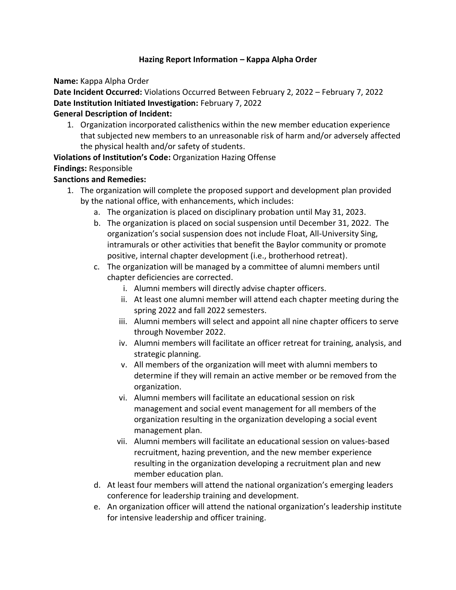## **Hazing Report Information – Kappa Alpha Order**

**Name:** Kappa Alpha Order

**Date Incident Occurred:** Violations Occurred Between February 2, 2022 – February 7, 2022 **Date Institution Initiated Investigation:** February 7, 2022

## **General Description of Incident:**

1. Organization incorporated calisthenics within the new member education experience that subjected new members to an unreasonable risk of harm and/or adversely affected the physical health and/or safety of students.

**Violations of Institution's Code:** Organization Hazing Offense **Findings:** Responsible

## **Sanctions and Remedies:**

- 1. The organization will complete the proposed support and development plan provided by the national office, with enhancements, which includes:
	- a. The organization is placed on disciplinary probation until May 31, 2023.
	- b. The organization is placed on social suspension until December 31, 2022. The organization's social suspension does not include Float, All-University Sing, intramurals or other activities that benefit the Baylor community or promote positive, internal chapter development (i.e., brotherhood retreat).
	- c. The organization will be managed by a committee of alumni members until chapter deficiencies are corrected.
		- i. Alumni members will directly advise chapter officers.
		- ii. At least one alumni member will attend each chapter meeting during the spring 2022 and fall 2022 semesters.
		- iii. Alumni members will select and appoint all nine chapter officers to serve through November 2022.
		- iv. Alumni members will facilitate an officer retreat for training, analysis, and strategic planning.
		- v. All members of the organization will meet with alumni members to determine if they will remain an active member or be removed from the organization.
		- vi. Alumni members will facilitate an educational session on risk management and social event management for all members of the organization resulting in the organization developing a social event management plan.
		- vii. Alumni members will facilitate an educational session on values-based recruitment, hazing prevention, and the new member experience resulting in the organization developing a recruitment plan and new member education plan.
	- d. At least four members will attend the national organization's emerging leaders conference for leadership training and development.
	- e. An organization officer will attend the national organization's leadership institute for intensive leadership and officer training.